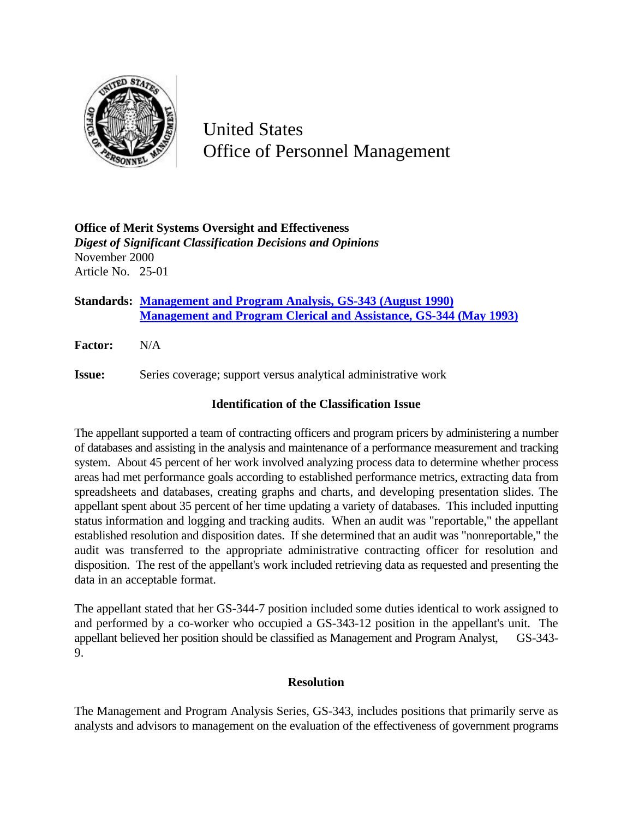

United States Office of Personnel Management

**Office of Merit Systems Oversight and Effectiveness** *Digest of Significant Classification Decisions and Opinions* November 2000 Article No. 25-01

**Standards: Management and Program Analysis, GS-343 (August 1990) Management and Program Clerical and Assistance, GS-344 (May 1993)**

**Factor:** N/A

**Issue:** Series coverage; support versus analytical administrative work

## **Identification of the Classification Issue**

The appellant supported a team of contracting officers and program pricers by administering a number of databases and assisting in the analysis and maintenance of a performance measurement and tracking system. About 45 percent of her work involved analyzing process data to determine whether process areas had met performance goals according to established performance metrics, extracting data from spreadsheets and databases, creating graphs and charts, and developing presentation slides. The appellant spent about 35 percent of her time updating a variety of databases. This included inputting status information and logging and tracking audits. When an audit was "reportable," the appellant established resolution and disposition dates. If she determined that an audit was "nonreportable," the audit was transferred to the appropriate administrative contracting officer for resolution and disposition. The rest of the appellant's work included retrieving data as requested and presenting the data in an acceptable format.

The appellant stated that her GS-344-7 position included some duties identical to work assigned to and performed by a co-worker who occupied a GS-343-12 position in the appellant's unit. The appellant believed her position should be classified as Management and Program Analyst, GS-343- 9.

## **Resolution**

The Management and Program Analysis Series, GS-343, includes positions that primarily serve as analysts and advisors to management on the evaluation of the effectiveness of government programs